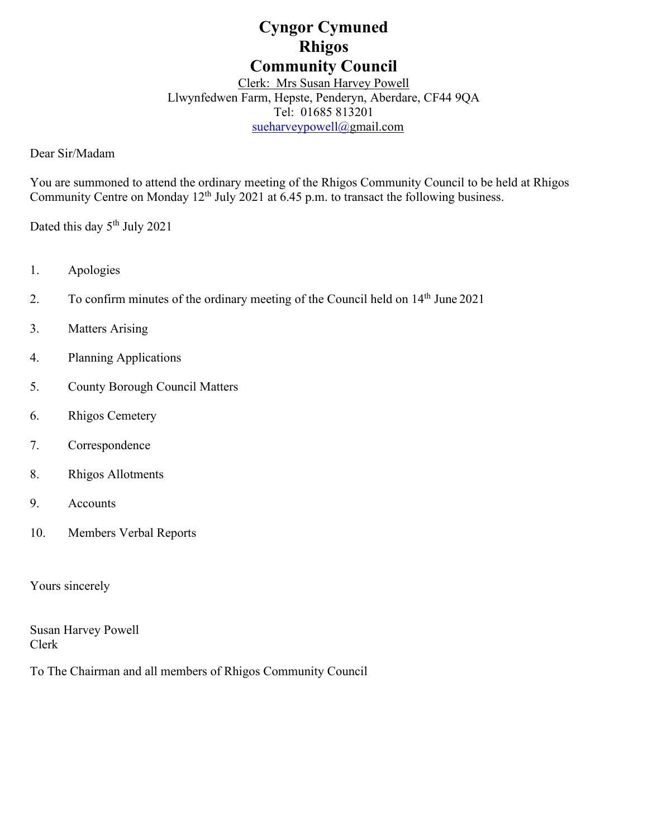# **Cyngor Cymuned Rhigos Community Council**

Clerk: Mrs Susan Harvey Powell Llwynfedwen Farm, Hepste, Penderyn, Aberdare, CF44 9QA Tel: 01685 813201 [sueharveypowell@g](mailto:sharveypowell@comin-infants.co.uk)mail.com

Dear Sir/Madam

You are summoned to attend the ordinary meeting of the Rhigos Community Council to be held at Rhigos Community Centre on Monday  $12<sup>th</sup>$  July 2021 at 6.45 p.m. to transact the following business.

Dated this day 5<sup>th</sup> July 2021

- 1. Apologies
- 2. To confirm minutes of the ordinary meeting of the Council held on  $14<sup>th</sup>$  June 2021
- 3. Matters Arising
- 4. Planning Applications
- 5. County Borough Council Matters
- 6. Rhigos Cemetery
- 7. Correspondence
- 8. Rhigos Allotments
- 9. Accounts
- 10. Members Verbal Reports

Yours sincerely

Susan Harvey Powell Clerk

To The Chairman and all members of Rhigos Community Council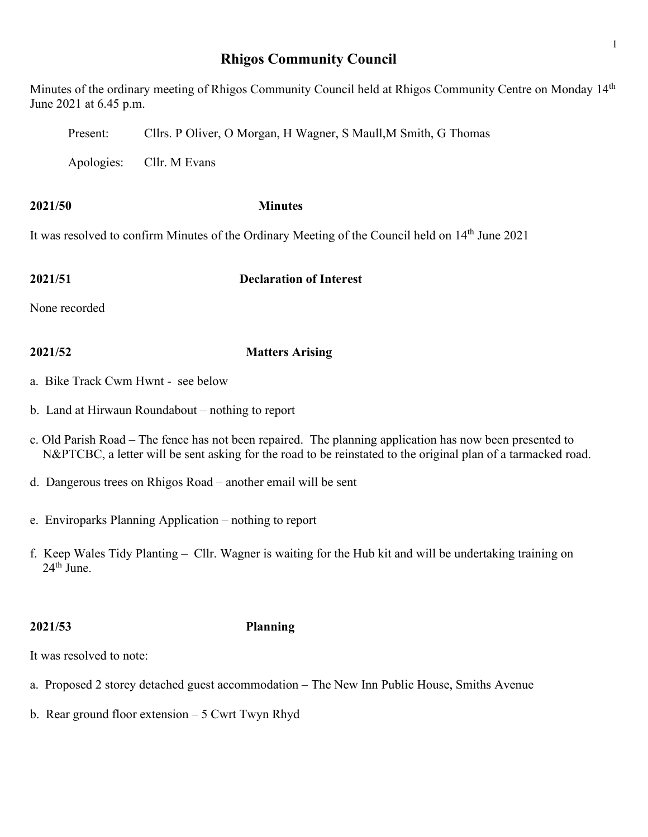## **Rhigos Community Council**

Minutes of the ordinary meeting of Rhigos Community Council held at Rhigos Community Centre on Monday 14<sup>th</sup> June 2021 at 6.45 p.m.

Present: Cllrs. P Oliver, O Morgan, H Wagner, S Maull,M Smith, G Thomas

Apologies: Cllr. M Evans

**2021/50 Minutes**

It was resolved to confirm Minutes of the Ordinary Meeting of the Council held on 14<sup>th</sup> June 2021

### **2021/51 Declaration of Interest**

None recorded

## **2021/52 Matters Arising**

- a. Bike Track Cwm Hwnt see below
- b. Land at Hirwaun Roundabout nothing to report
- c. Old Parish Road The fence has not been repaired. The planning application has now been presented to N&PTCBC, a letter will be sent asking for the road to be reinstated to the original plan of a tarmacked road.
- d. Dangerous trees on Rhigos Road another email will be sent
- e. Enviroparks Planning Application nothing to report
- f. Keep Wales Tidy Planting Cllr. Wagner is waiting for the Hub kit and will be undertaking training on  $24<sup>th</sup>$  June.

## **2021/53 Planning**

It was resolved to note:

- a. Proposed 2 storey detached guest accommodation The New Inn Public House, Smiths Avenue
- b. Rear ground floor extension 5 Cwrt Twyn Rhyd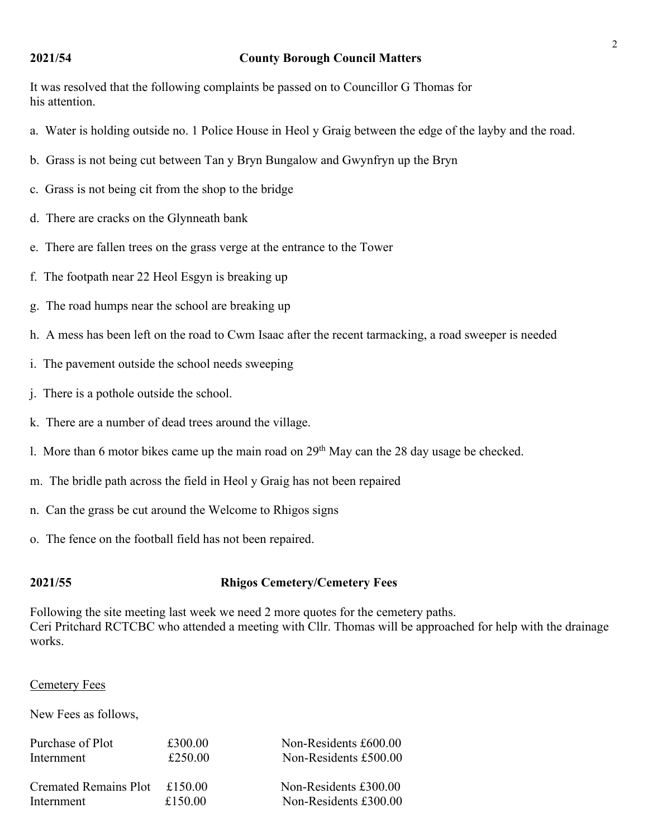### **2021/54 County Borough Council Matters**

It was resolved that the following complaints be passed on to Councillor G Thomas for his attention.

- a. Water is holding outside no. 1 Police House in Heol y Graig between the edge of the layby and the road.
- b. Grass is not being cut between Tan y Bryn Bungalow and Gwynfryn up the Bryn
- c. Grass is not being cit from the shop to the bridge
- d. There are cracks on the Glynneath bank
- e. There are fallen trees on the grass verge at the entrance to the Tower
- f. The footpath near 22 Heol Esgyn is breaking up
- g. The road humps near the school are breaking up
- h. A mess has been left on the road to Cwm Isaac after the recent tarmacking, a road sweeper is needed
- i. The pavement outside the school needs sweeping
- j. There is a pothole outside the school.
- k. There are a number of dead trees around the village.
- 1. More than 6 motor bikes came up the main road on  $29<sup>th</sup>$  May can the 28 day usage be checked.
- m. The bridle path across the field in Heol y Graig has not been repaired
- n. Can the grass be cut around the Welcome to Rhigos signs
- o. The fence on the football field has not been repaired.

### **2021/55 Rhigos Cemetery/Cemetery Fees**

Following the site meeting last week we need 2 more quotes for the cemetery paths. Ceri Pritchard RCTCBC who attended a meeting with Cllr. Thomas will be approached for help with the drainage works.

### Cemetery Fees

New Fees as follows,

| Purchase of Plot             | £300.00 | Non-Residents £600.00 |
|------------------------------|---------|-----------------------|
| Internment                   | £250.00 | Non-Residents £500.00 |
| <b>Cremated Remains Plot</b> | £150.00 | Non-Residents £300.00 |
| Internment                   | £150.00 | Non-Residents £300.00 |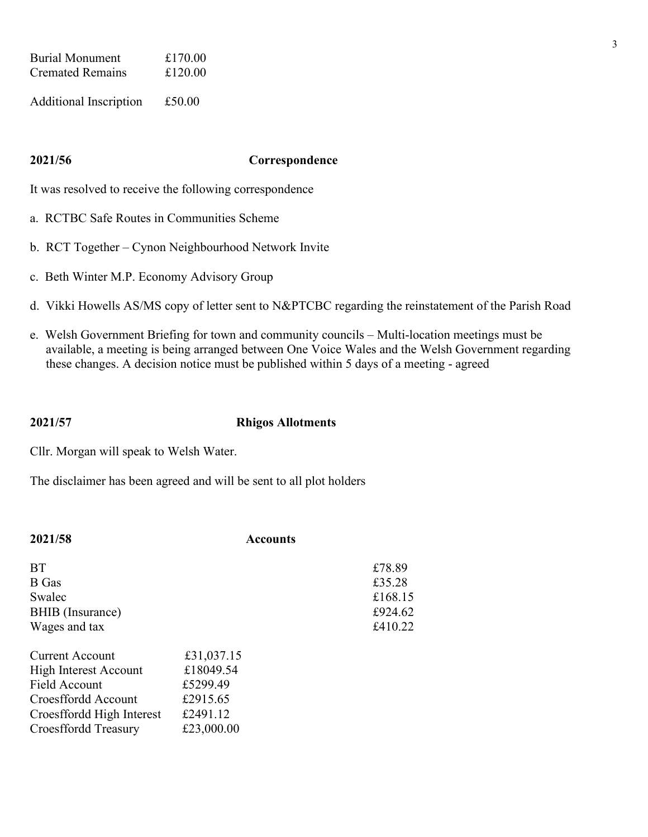| <b>Burial Monument</b>  | £170.00 |
|-------------------------|---------|
| <b>Cremated Remains</b> | £120.00 |
|                         |         |

Additional Inscription £50.00

### **2021/56 Correspondence**

It was resolved to receive the following correspondence

- a. RCTBC Safe Routes in Communities Scheme
- b. RCT Together Cynon Neighbourhood Network Invite
- c. Beth Winter M.P. Economy Advisory Group
- d. Vikki Howells AS/MS copy of letter sent to N&PTCBC regarding the reinstatement of the Parish Road
- e. Welsh Government Briefing for town and community councils Multi-location meetings must be available, a meeting is being arranged between One Voice Wales and the Welsh Government regarding these changes. A decision notice must be published within 5 days of a meeting - agreed

### **2021/57 Rhigos Allotments**

Cllr. Morgan will speak to Welsh Water.

The disclaimer has been agreed and will be sent to all plot holders

| 2021/58                                                                                                                                             | <b>Accounts</b>                                                           |                                                   |
|-----------------------------------------------------------------------------------------------------------------------------------------------------|---------------------------------------------------------------------------|---------------------------------------------------|
| <b>BT</b><br>B Gas<br>Swalec<br>BHIB (Insurance)<br>Wages and tax                                                                                   |                                                                           | £78.89<br>£35.28<br>£168.15<br>£924.62<br>£410.22 |
| Current Account<br><b>High Interest Account</b><br>Field Account<br>Croesffordd Account<br>Croesffordd High Interest<br><b>Croesffordd Treasury</b> | £31,037.15<br>£18049.54<br>£5299.49<br>£2915.65<br>£2491.12<br>£23,000.00 |                                                   |